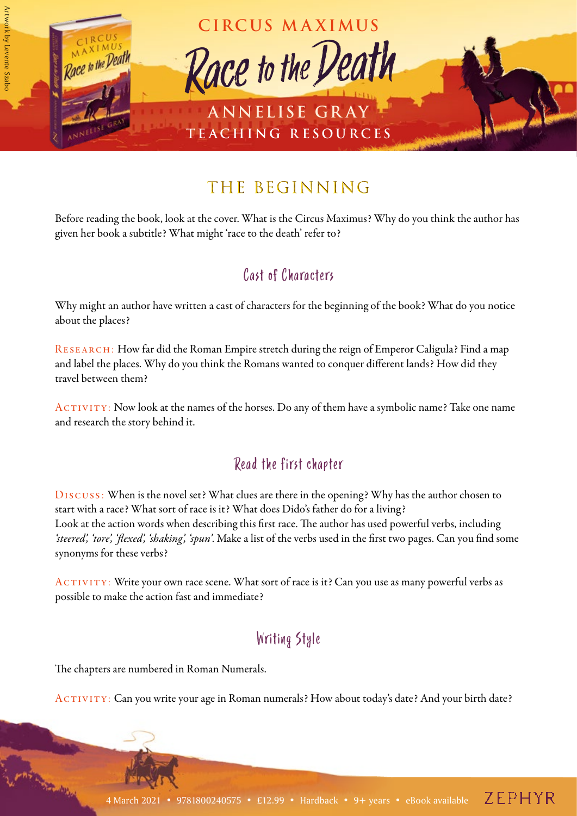

# THE BEGINNING

Before reading the book, look at the cover. What is the Circus Maximus? Why do you think the author has given her book a subtitle? What might 'race to the death' refer to?

#### Cast of Characters

Why might an author have written a cast of characters for the beginning of the book? What do you notice about the places?

RESEARCH: How far did the Roman Empire stretch during the reign of Emperor Caligula? Find a map and label the places. Why do you think the Romans wanted to conquer different lands? How did they travel between them?

ACTIVITY: Now look at the names of the horses. Do any of them have a symbolic name? Take one name and research the story behind it.

#### Read the first chapter

Discuss: When is the novel set? What clues are there in the opening? Why has the author chosen to start with a race? What sort of race is it? What does Dido's father do for a living? Look at the action words when describing this first race. The author has used powerful verbs, including *'steered', 'tore', 'flexed', 'shaking', 'spun'*. Make a list of the verbs used in the first two pages. Can you find some synonyms for these verbs?

ACTIVITY: Write your own race scene. What sort of race is it? Can you use as many powerful verbs as possible to make the action fast and immediate?

#### Writing Style

The chapters are numbered in Roman Numerals.

Activity: Can you write your age in Roman numerals? How about today's date? And your birth date?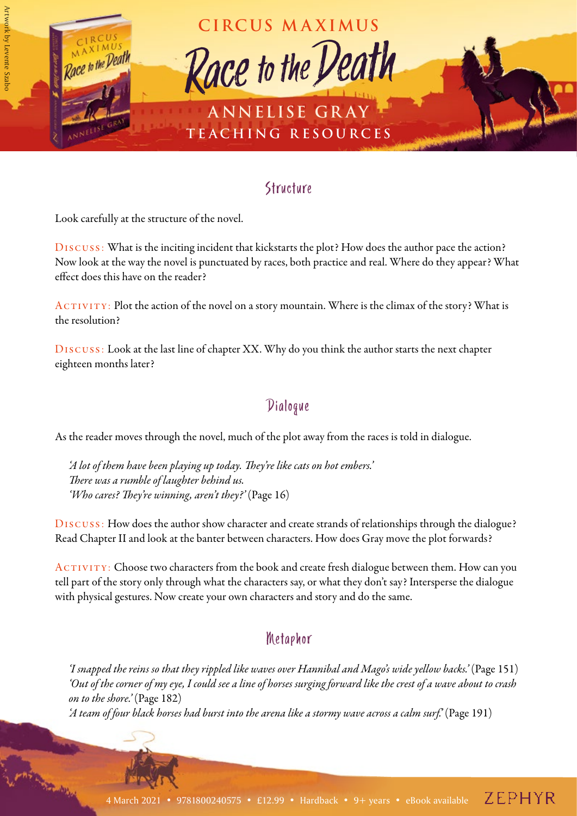

#### **Structure**

Look carefully at the structure of the novel.

Discuss: What is the inciting incident that kickstarts the plot? How does the author pace the action? Now look at the way the novel is punctuated by races, both practice and real. Where do they appear? What effect does this have on the reader?

ACTIVITY: Plot the action of the novel on a story mountain. Where is the climax of the story? What is the resolution?

Discuss: Look at the last line of chapter XX. Why do you think the author starts the next chapter eighteen months later?

## Dialogue

As the reader moves through the novel, much of the plot away from the races is told in dialogue.

*'A lot of them have been playing up today. They're like cats on hot embers.' There was a rumble of laughter behind us. 'Who cares? They're winning, aren't they?'* (Page 16)

Discuss: How does the author show character and create strands of relationships through the dialogue? Read Chapter II and look at the banter between characters. How does Gray move the plot forwards?

ACTIVITY: Choose two characters from the book and create fresh dialogue between them. How can you tell part of the story only through what the characters say, or what they don't say? Intersperse the dialogue with physical gestures. Now create your own characters and story and do the same.

#### Metaphor

*'I snapped the reins so that they rippled like waves over Hannibal and Mago's wide yellow backs.'* (Page 151) *'Out of the corner of my eye, I could see a line of horses surging forward like the crest of a wave about to crash on to the shore.'* (Page 182) *'A team of four black horses had burst into the arena like a stormy wave across a calm surf.'* (Page 191)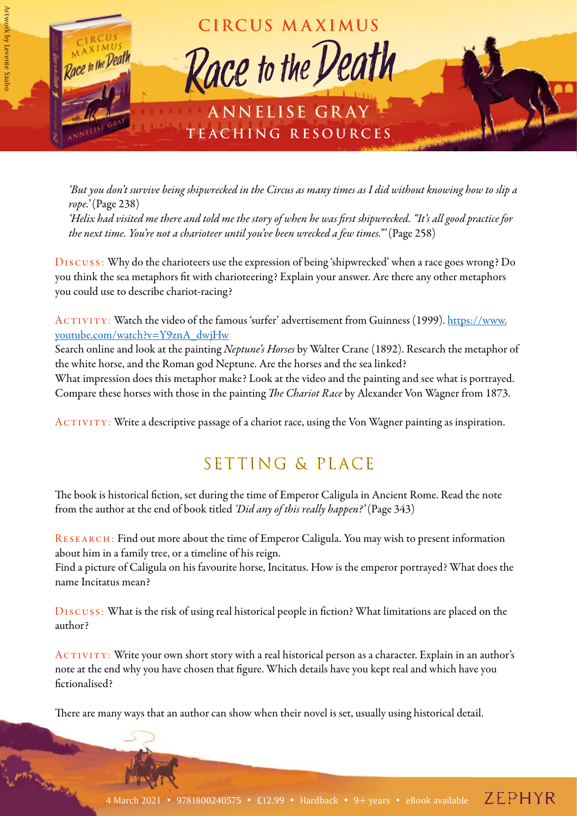

*'But you don't survive being shipwrecked in the Circus as many times as I did without knowing how to slip a rope.'* (Page 238) *'Helix had visited me there and told me the story of when he was first shipwrecked. "It's all good practice for the next time. You're not a charioteer until you've been wrecked a few times."'* (Page 258)

Discuss: Why do the charioteers use the expression of being 'shipwrecked' when a race goes wrong? Do you think the sea metaphors fit with charioteering? Explain your answer. Are there any other metaphors you could use to describe chariot-racing?

ACTIVITY: Watch the video of the famous 'surfer' advertisement from Guinness (1999). [https://www.](https://www.youtube.com/watch?v=Y9znA_dwjHw) [youtube.com/watch?v=Y9znA\\_dwjHw](https://www.youtube.com/watch?v=Y9znA_dwjHw)

Search online and look at the painting *Neptune's Horses* by Walter Crane (1892). Research the metaphor of the white horse, and the Roman god Neptune. Are the horses and the sea linked?

What impression does this metaphor make? Look at the video and the painting and see what is portrayed. Compare these horses with those in the painting *The Chariot Race* by Alexander Von Wagner from 1873.

ACTIVITY: Write a descriptive passage of a chariot race, using the Von Wagner painting as inspiration.

## SETTING & PLACE

The book is historical fiction, set during the time of Emperor Caligula in Ancient Rome. Read the note from the author at the end of book titled *'Did any of this really happen?'* (Page 343)

RESEARCH: Find out more about the time of Emperor Caligula. You may wish to present information about him in a family tree, or a timeline of his reign.

Find a picture of Caligula on his favourite horse, Incitatus. How is the emperor portrayed? What does the name Incitatus mean?

Discuss: What is the risk of using real historical people in fiction? What limitations are placed on the author?

ACTIVITY: Write your own short story with a real historical person as a character. Explain in an author's note at the end why you have chosen that figure. Which details have you kept real and which have you fictionalised?

There are many ways that an author can show when their novel is set, usually using historical detail.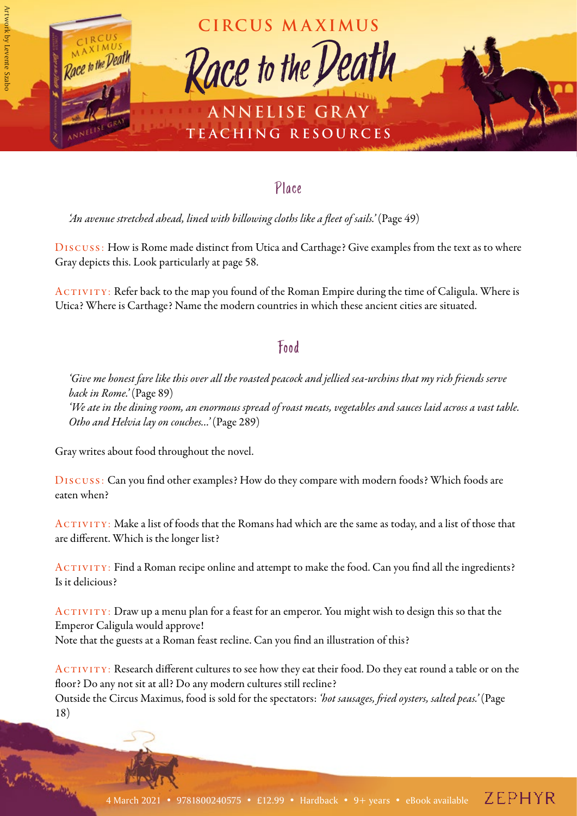

#### Place

*'An avenue stretched ahead, lined with billowing cloths like a fleet of sails.'* (Page 49)

Discuss: How is Rome made distinct from Utica and Carthage? Give examples from the text as to where Gray depicts this. Look particularly at page 58.

ACTIVITY: Refer back to the map you found of the Roman Empire during the time of Caligula. Where is Utica? Where is Carthage? Name the modern countries in which these ancient cities are situated.

#### Food

*'Give me honest fare like this over all the roasted peacock and jellied sea-urchins that my rich friends serve back in Rome.'* (Page 89) *'We ate in the dining room, an enormous spread of roast meats, vegetables and sauces laid across a vast table. Otho and Helvia lay on couches…'* (Page 289)

Gray writes about food throughout the novel.

Discuss: Can you find other examples? How do they compare with modern foods? Which foods are eaten when?

ACTIVITY: Make a list of foods that the Romans had which are the same as today, and a list of those that are different. Which is the longer list?

ACTIVITY: Find a Roman recipe online and attempt to make the food. Can you find all the ingredients? Is it delicious?

ACTIVITY: Draw up a menu plan for a feast for an emperor. You might wish to design this so that the Emperor Caligula would approve! Note that the guests at a Roman feast recline. Can you find an illustration of this?

ACTIVITY: Research different cultures to see how they eat their food. Do they eat round a table or on the floor? Do any not sit at all? Do any modern cultures still recline? Outside the Circus Maximus, food is sold for the spectators: *'hot sausages, fried oysters, salted peas.'* (Page 18)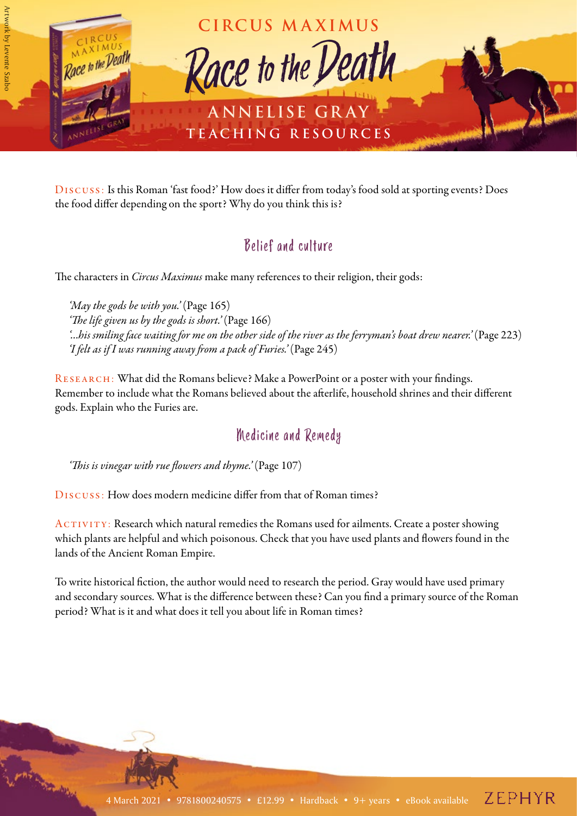

Discuss: Is this Roman 'fast food?' How does it differ from today's food sold at sporting events? Does the food differ depending on the sport? Why do you think this is?

#### Belief and culture

The characters in *Circus Maximus* make many references to their religion, their gods:

*'May the gods be with you.'* (Page 165) *'The life given us by the gods is short.'* (Page 166) *'…his smiling face waiting for me on the other side of the river as the ferryman's boat drew nearer.'* (Page 223) *'I felt as if I was running away from a pack of Furies.'* (Page 245)

RESEARCH: What did the Romans believe? Make a PowerPoint or a poster with your findings. Remember to include what the Romans believed about the afterlife, household shrines and their different gods. Explain who the Furies are.

#### Medicine and Remedy

*'This is vinegar with rue flowers and thyme.'* (Page 107)

Discuss: How does modern medicine differ from that of Roman times?

ACTIVITY: Research which natural remedies the Romans used for ailments. Create a poster showing which plants are helpful and which poisonous. Check that you have used plants and flowers found in the lands of the Ancient Roman Empire.

To write historical fiction, the author would need to research the period. Gray would have used primary and secondary sources. What is the difference between these? Can you find a primary source of the Roman period? What is it and what does it tell you about life in Roman times?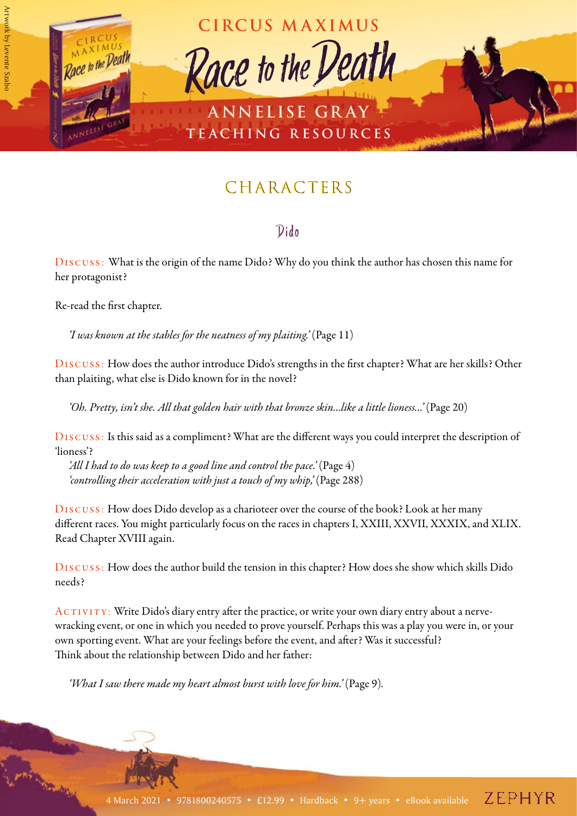

# **CHARACTERS**

#### Dido

Discuss: What is the origin of the name Dido? Why do you think the author has chosen this name for her protagonist?

Re-read the first chapter.

*'I was known at the stables for the neatness of my plaiting.'* (Page 11)

Discuss: How does the author introduce Dido's strengths in the first chapter? What are her skills? Other than plaiting, what else is Dido known for in the novel?

*'Oh. Pretty, isn't she. All that golden hair with that bronze skin…like a little lioness…'* (Page 20)

Discuss: Is this said as a compliment? What are the different ways you could interpret the description of 'lioness'?

*'All I had to do was keep to a good line and control the pace.'* (Page 4) *'controlling their acceleration with just a touch of my whip,'* (Page 288)

Discuss: How does Dido develop as a charioteer over the course of the book? Look at her many different races. You might particularly focus on the races in chapters I, XXIII, XXVII, XXXIX, and XLIX. Read Chapter XVIII again.

Discuss: How does the author build the tension in this chapter? How does she show which skills Dido needs?

ACTIVITY: Write Dido's diary entry after the practice, or write your own diary entry about a nervewracking event, or one in which you needed to prove yourself. Perhaps this was a play you were in, or your own sporting event. What are your feelings before the event, and after? Was it successful? Think about the relationship between Dido and her father:

*'What I saw there made my heart almost burst with love for him.'* (Page 9).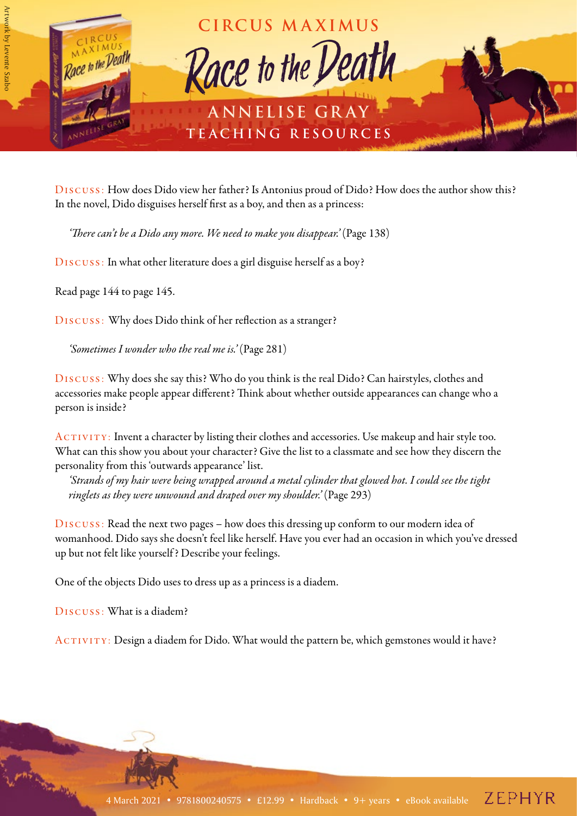

Discuss: How does Dido view her father? Is Antonius proud of Dido? How does the author show this? In the novel, Dido disguises herself first as a boy, and then as a princess:

*'There can't be a Dido any more. We need to make you disappear.'* (Page 138)

Discuss: In what other literature does a girl disguise herself as a boy?

Read page 144 to page 145.

Discuss: Why does Dido think of her reflection as a stranger?

*'Sometimes I wonder who the real me is.'* (Page 281)

Discuss: Why does she say this? Who do you think is the real Dido? Can hairstyles, clothes and accessories make people appear different? Think about whether outside appearances can change who a person is inside?

ACTIVITY: Invent a character by listing their clothes and accessories. Use makeup and hair style too. What can this show you about your character? Give the list to a classmate and see how they discern the personality from this 'outwards appearance' list.

*'Strands of my hair were being wrapped around a metal cylinder that glowed hot. I could see the tight ringlets as they were unwound and draped over my shoulder.'* (Page 293)

Discuss: Read the next two pages – how does this dressing up conform to our modern idea of womanhood. Dido says she doesn't feel like herself. Have you ever had an occasion in which you've dressed up but not felt like yourself ? Describe your feelings.

One of the objects Dido uses to dress up as a princess is a diadem.

Discuss: What is a diadem?

ACTIVITY: Design a diadem for Dido. What would the pattern be, which gemstones would it have?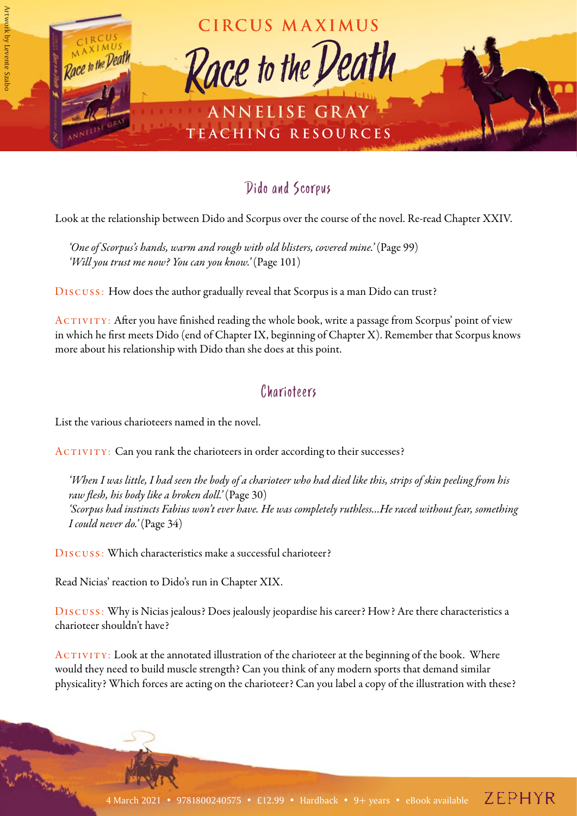

#### Dido and Scorpus

Look at the relationship between Dido and Scorpus over the course of the novel. Re-read Chapter XXIV.

*'One of Scorpus's hands, warm and rough with old blisters, covered mine.'* (Page 99) *'Will you trust me now? You can you know.'* (Page 101)

Discuss: How does the author gradually reveal that Scorpus is a man Dido can trust?

 $ACTIVITY:$  After you have finished reading the whole book, write a passage from Scorpus' point of view in which he first meets Dido (end of Chapter IX, beginning of Chapter X). Remember that Scorpus knows more about his relationship with Dido than she does at this point.

#### Charioteers

List the various charioteers named in the novel.

ACTIVITY: Can you rank the charioteers in order according to their successes?

*'When I was little, I had seen the body of a charioteer who had died like this, strips of skin peeling from his raw flesh, his body like a broken doll.'* (Page 30) *'Scorpus had instincts Fabius won't ever have. He was completely ruthless…He raced without fear, something I could never do.'* (Page 34)

Discuss: Which characteristics make a successful charioteer?

Read Nicias' reaction to Dido's run in Chapter XIX.

Discuss: Why is Nicias jealous? Does jealously jeopardise his career? How? Are there characteristics a charioteer shouldn't have?

ACTIVITY: Look at the annotated illustration of the charioteer at the beginning of the book. Where would they need to build muscle strength? Can you think of any modern sports that demand similar physicality? Which forces are acting on the charioteer? Can you label a copy of the illustration with these?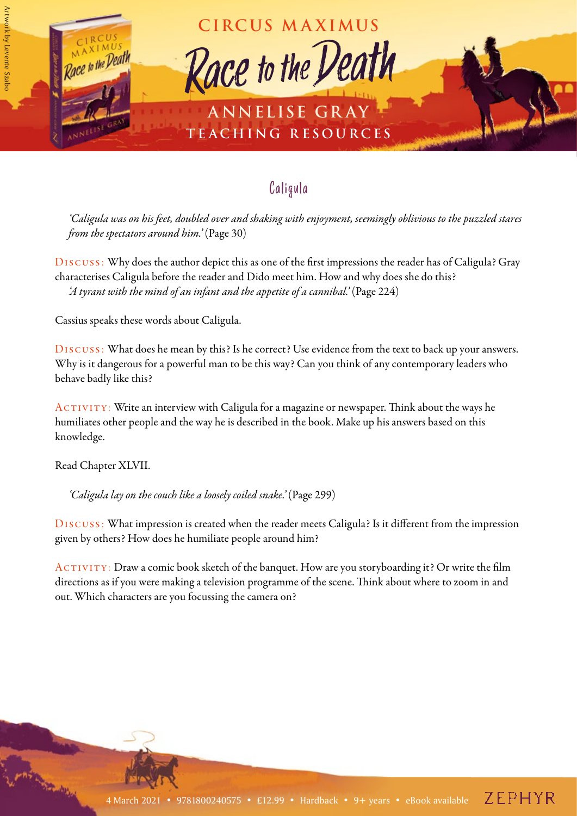

## Caligula

*'Caligula was on his feet, doubled over and shaking with enjoyment, seemingly oblivious to the puzzled stares from the spectators around him.'* (Page 30)

Discuss: Why does the author depict this as one of the first impressions the reader has of Caligula? Gray characterises Caligula before the reader and Dido meet him. How and why does she do this? *'A tyrant with the mind of an infant and the appetite of a cannibal.'* (Page 224)

Cassius speaks these words about Caligula.

Discuss: What does he mean by this? Is he correct? Use evidence from the text to back up your answers. Why is it dangerous for a powerful man to be this way? Can you think of any contemporary leaders who behave badly like this?

ACTIVITY: Write an interview with Caligula for a magazine or newspaper. Think about the ways he humiliates other people and the way he is described in the book. Make up his answers based on this knowledge.

Read Chapter XLVII.

*'Caligula lay on the couch like a loosely coiled snake.'* (Page 299)

Discuss: What impression is created when the reader meets Caligula? Is it different from the impression given by others? How does he humiliate people around him?

ACTIVITY: Draw a comic book sketch of the banquet. How are you storyboarding it? Or write the film directions as if you were making a television programme of the scene. Think about where to zoom in and out. Which characters are you focussing the camera on?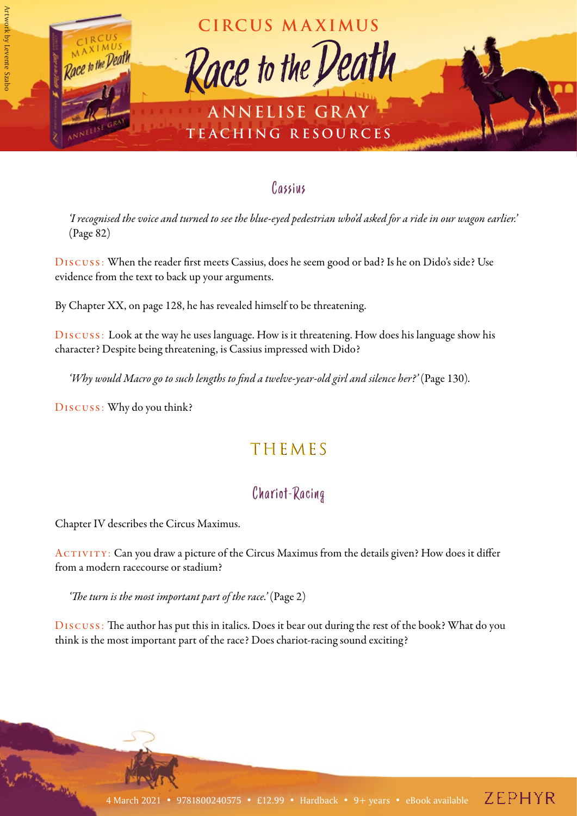

#### Cassius

*'I recognised the voice and turned to see the blue-eyed pedestrian who'd asked for a ride in our wagon earlier.'*  (Page 82)

Discuss: When the reader first meets Cassius, does he seem good or bad? Is he on Dido's side? Use evidence from the text to back up your arguments.

By Chapter XX, on page 128, he has revealed himself to be threatening.

Discuss: Look at the way he uses language. How is it threatening. How does his language show his character? Despite being threatening, is Cassius impressed with Dido?

'Why would Macro go to such lengths to find a twelve-year-old girl and silence her?' (Page 130).

Discuss: Why do you think?

## THEMES

## Chariot-Racing

Chapter IV describes the Circus Maximus.

ACTIVITY: Can you draw a picture of the Circus Maximus from the details given? How does it differ from a modern racecourse or stadium?

*'The turn is the most important part of the race.'* (Page 2)

Discuss: The author has put this in italics. Does it bear out during the rest of the book? What do you think is the most important part of the race? Does chariot-racing sound exciting?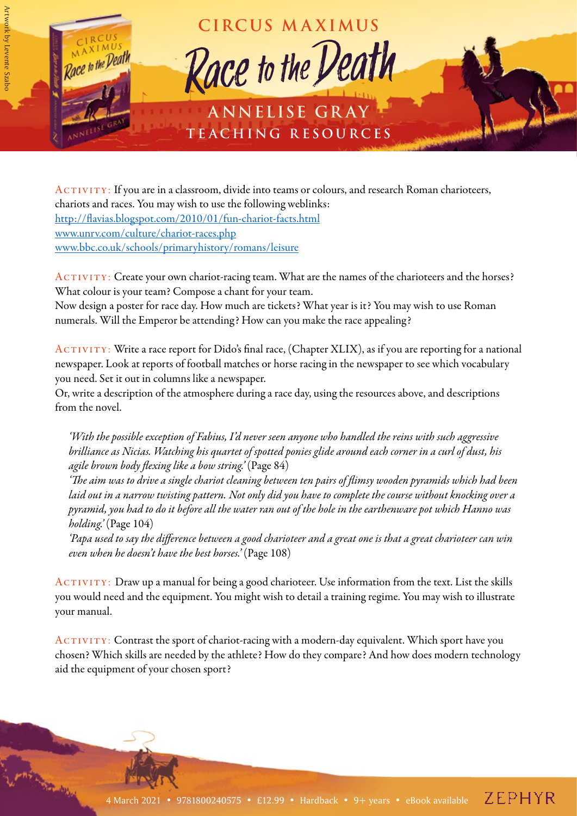

ACTIVITY: If you are in a classroom, divide into teams or colours, and research Roman charioteers, chariots and races. You may wish to use the following weblinks: <http://flavias.blogspot.com/2010/01/fun-chariot-facts.html> [www.unrv.com/culture/chariot-races.php](http://www.unrv.com/culture/chariot-races.php) [www.bbc.co.uk/schools/primaryhistory/romans/leisure](http://www.bbc.co.uk/schools/primaryhistory/romans/leisure)

ACTIVITY: Create your own chariot-racing team. What are the names of the charioteers and the horses? What colour is your team? Compose a chant for your team.

Now design a poster for race day. How much are tickets? What year is it? You may wish to use Roman numerals. Will the Emperor be attending? How can you make the race appealing?

ACTIVITY: Write a race report for Dido's final race, (Chapter XLIX), as if you are reporting for a national newspaper. Look at reports of football matches or horse racing in the newspaper to see which vocabulary you need. Set it out in columns like a newspaper.

Or, write a description of the atmosphere during a race day, using the resources above, and descriptions from the novel.

*'With the possible exception of Fabius, I'd never seen anyone who handled the reins with such aggressive brilliance as Nicias. Watching his quartet of spotted ponies glide around each corner in a curl of dust, his agile brown body flexing like a bow string.'* (Page 84)

*'The aim was to drive a single chariot cleaning between ten pairs of flimsy wooden pyramids which had been laid out in a narrow twisting pattern. Not only did you have to complete the course without knocking over a pyramid, you had to do it before all the water ran out of the hole in the earthenware pot which Hanno was holding.'* (Page 104)

*'Papa used to say the difference between a good charioteer and a great one is that a great charioteer can win even when he doesn't have the best horses.'* (Page 108)

ACTIVITY: Draw up a manual for being a good charioteer. Use information from the text. List the skills you would need and the equipment. You might wish to detail a training regime. You may wish to illustrate your manual.

ACTIVITY: Contrast the sport of chariot-racing with a modern-day equivalent. Which sport have you chosen? Which skills are needed by the athlete? How do they compare? And how does modern technology aid the equipment of your chosen sport?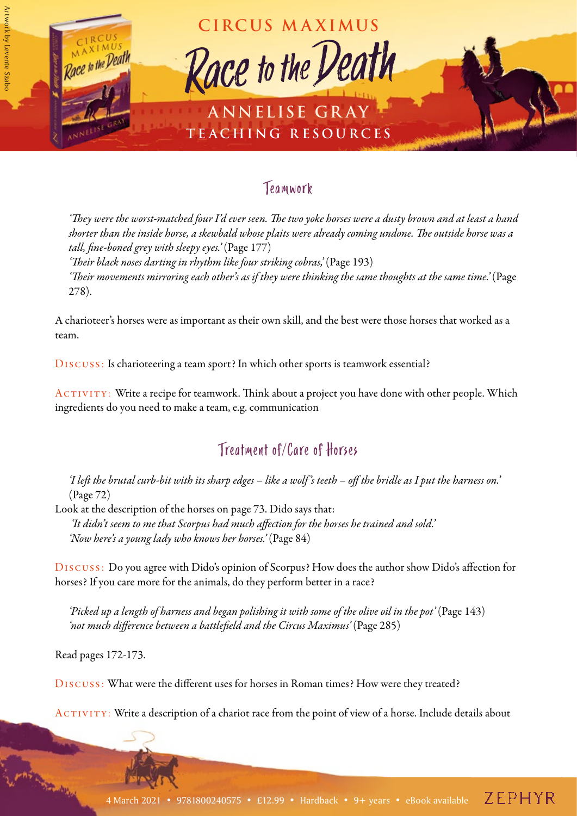

#### Teamwork

*'They were the worst-matched four I'd ever seen. The two yoke horses were a dusty brown and at least a hand shorter than the inside horse, a skewbald whose plaits were already coming undone. The outside horse was a tall, fine-boned grey with sleepy eyes.'* (Page 177)

*'Their black noses darting in rhythm like four striking cobras,'* (Page 193) *'Their movements mirroring each other's as if they were thinking the same thoughts at the same time.'* (Page 278).

A charioteer's horses were as important as their own skill, and the best were those horses that worked as a team.

Discuss: Is charioteering a team sport? In which other sports is teamwork essential?

ACTIVITY: Write a recipe for teamwork. Think about a project you have done with other people. Which ingredients do you need to make a team, e.g. communication

## Treatment of/Care of Horses

*'I left the brutal curb-bit with its sharp edges – like a wolf 's teeth – off the bridle as I put the harness on.'*  (Page 72)

Look at the description of the horses on page 73. Dido says that:  *'It didn't seem to me that Scorpus had much affection for the horses he trained and sold.' 'Now here's a young lady who knows her horses.'* (Page 84)

Discuss: Do you agree with Dido's opinion of Scorpus? How does the author show Dido's affection for horses? If you care more for the animals, do they perform better in a race?

*'Picked up a length of harness and began polishing it with some of the olive oil in the pot'* (Page 143) *'not much difference between a battlefield and the Circus Maximus'* (Page 285)

Read pages 172-173.

Discuss: What were the different uses for horses in Roman times? How were they treated?

ACTIVITY: Write a description of a chariot race from the point of view of a horse. Include details about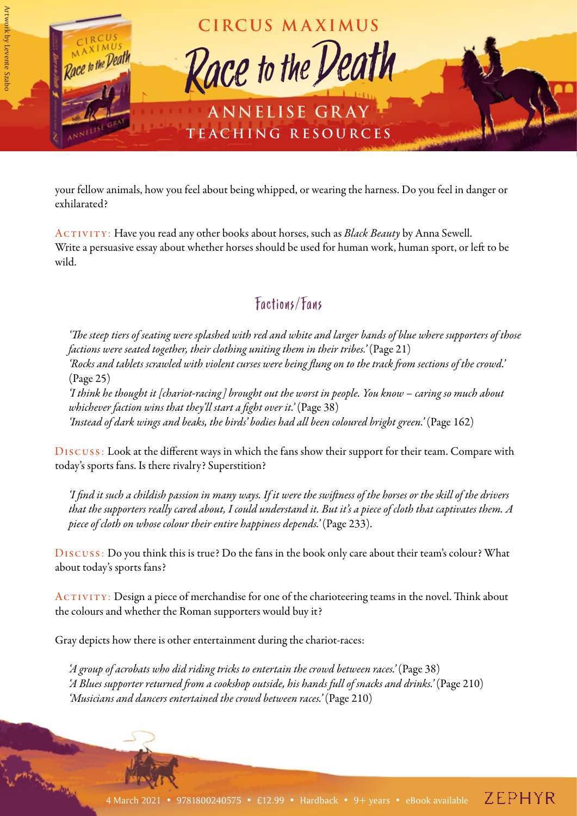

your fellow animals, how you feel about being whipped, or wearing the harness. Do you feel in danger or exhilarated?

ACTIVITY: Have you read any other books about horses, such as *Black Beauty* by Anna Sewell. Write a persuasive essay about whether horses should be used for human work, human sport, or left to be wild.

## Factions/Fans

*'The steep tiers of seating were splashed with red and white and larger bands of blue where supporters of those factions were seated together, their clothing uniting them in their tribes.*' (Page 21) *'Rocks and tablets scrawled with violent curses were being flung on to the track from sections of the crowd.'*  (Page 25) *'I think he thought it [chariot-racing] brought out the worst in people. You know – caring so much about* 

*whichever faction wins that they'll start a fight over it.'* (Page 38) 'Instead of dark wings and beaks, the birds' bodies had all been coloured bright green.' (Page 162)

Discuss: Look at the different ways in which the fans show their support for their team. Compare with today's sports fans. Is there rivalry? Superstition?

*'I find it such a childish passion in many ways. If it were the swiftness of the horses or the skill of the drivers that the supporters really cared about, I could understand it. But it's a piece of cloth that captivates them. A piece of cloth on whose colour their entire happiness depends.'* (Page 233).

Discuss: Do you think this is true? Do the fans in the book only care about their team's colour? What about today's sports fans?

ACTIVITY: Design a piece of merchandise for one of the charioteering teams in the novel. Think about the colours and whether the Roman supporters would buy it?

Gray depicts how there is other entertainment during the chariot-races:

*'A group of acrobats who did riding tricks to entertain the crowd between races.'* (Page 38) *'A Blues supporter returned from a cookshop outside, his hands full of snacks and drinks.*' (Page 210) *'Musicians and dancers entertained the crowd between races.'* (Page 210)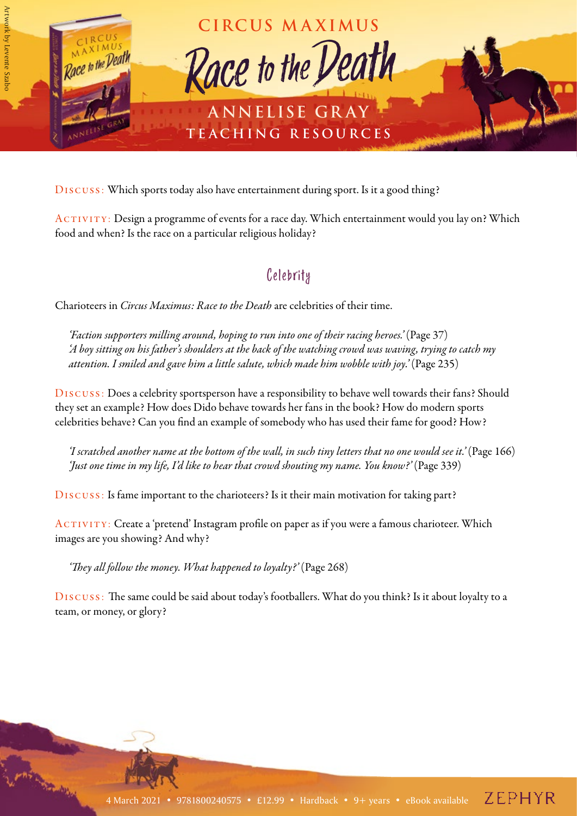

Discuss: Which sports today also have entertainment during sport. Is it a good thing?

ACTIVITY: Design a programme of events for a race day. Which entertainment would you lay on? Which food and when? Is the race on a particular religious holiday?

#### Celebrity

Charioteers in *Circus Maximus: Race to the Death* are celebrities of their time.

*'Faction supporters milling around, hoping to run into one of their racing heroes.'* (Page 37) *'A boy sitting on his father's shoulders at the back of the watching crowd was waving, trying to catch my attention. I smiled and gave him a little salute, which made him wobble with joy.'* (Page 235)

Discuss: Does a celebrity sportsperson have a responsibility to behave well towards their fans? Should they set an example? How does Dido behave towards her fans in the book? How do modern sports celebrities behave? Can you find an example of somebody who has used their fame for good? How?

*'I scratched another name at the bottom of the wall, in such tiny letters that no one would see it.'* (Page 166) *'Just one time in my life, I'd like to hear that crowd shouting my name. You know?'* (Page 339)

Discuss: Is fame important to the charioteers? Is it their main motivation for taking part?

ACTIVITY: Create a 'pretend' Instagram profile on paper as if you were a famous charioteer. Which images are you showing? And why?

'They all follow the money. What happened to loyalty?' (Page 268)

Discuss: The same could be said about today's footballers. What do you think? Is it about loyalty to a team, or money, or glory?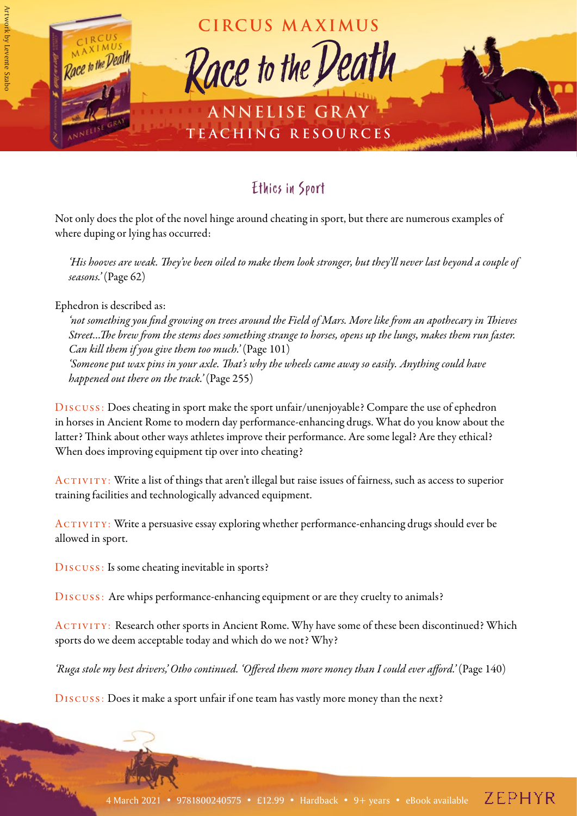

## Ethics in Sport

Not only does the plot of the novel hinge around cheating in sport, but there are numerous examples of where duping or lying has occurred:

*'His hooves are weak. They've been oiled to make them look stronger, but they'll never last beyond a couple of seasons.'* (Page 62)

Ephedron is described as:

*'not something you find growing on trees around the Field of Mars. More like from an apothecary in Thieves Street…The brew from the stems does something strange to horses, opens up the lungs, makes them run faster. Can kill them if you give them too much.'* (Page 101) *'Someone put wax pins in your axle. That's why the wheels came away so easily. Anything could have happened out there on the track.'* (Page 255)

Discuss: Does cheating in sport make the sport unfair/unenjoyable? Compare the use of ephedron in horses in Ancient Rome to modern day performance-enhancing drugs. What do you know about the latter? Think about other ways athletes improve their performance. Are some legal? Are they ethical? When does improving equipment tip over into cheating?

 $ACTIVITY: Write a list of things that aren't illegal but raise issues of fairness, such as access to superior$ training facilities and technologically advanced equipment.

ACTIVITY: Write a persuasive essay exploring whether performance-enhancing drugs should ever be allowed in sport.

Discuss: Is some cheating inevitable in sports?

Discuss: Are whips performance-enhancing equipment or are they cruelty to animals?

ACTIVITY: Research other sports in Ancient Rome. Why have some of these been discontinued? Which sports do we deem acceptable today and which do we not? Why?

'Ruga stole my best drivers,' Otho continued. 'Offered them more money than I could ever afford.' (Page 140)

Discuss: Does it make a sport unfair if one team has vastly more money than the next?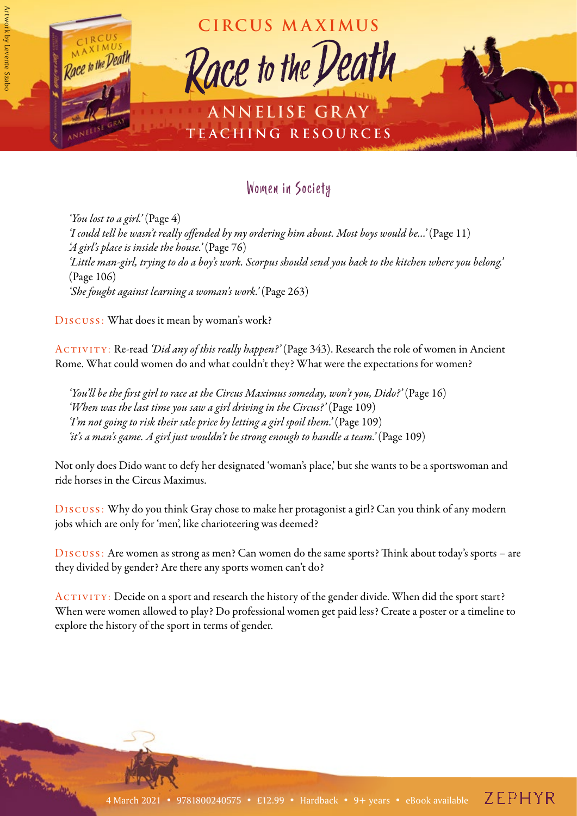

### Women in Society

*'You lost to a girl.'* (Page 4) *'I could tell he wasn't really offended by my ordering him about. Most boys would be…'* (Page 11) *'A girl's place is inside the house.'* (Page 76) *'Little man-girl, trying to do a boy's work. Scorpus should send you back to the kitchen where you belong.'*  (Page 106) *'She fought against learning a woman's work.'* (Page 263)

Discuss: What does it mean by woman's work?

Activity: Re-read *'Did any of this really happen?'* (Page 343). Research the role of women in Ancient Rome. What could women do and what couldn't they? What were the expectations for women?

'You'll be the first girl to race at the Circus Maximus someday, won't you, Dido?' (Page 16) 'When was the last time you saw a girl driving in the Circus?' (Page 109) *Tm* not going to risk their sale price by letting a girl spoil them.' (Page 109) *'it's a man's game. A girl just wouldn't be strong enough to handle a team.'* (Page 109)

Not only does Dido want to defy her designated 'woman's place,' but she wants to be a sportswoman and ride horses in the Circus Maximus.

Discuss: Why do you think Gray chose to make her protagonist a girl? Can you think of any modern jobs which are only for 'men', like charioteering was deemed?

Discuss: Are women as strong as men? Can women do the same sports? Think about today's sports – are they divided by gender? Are there any sports women can't do?

ACTIVITY: Decide on a sport and research the history of the gender divide. When did the sport start? When were women allowed to play? Do professional women get paid less? Create a poster or a timeline to explore the history of the sport in terms of gender.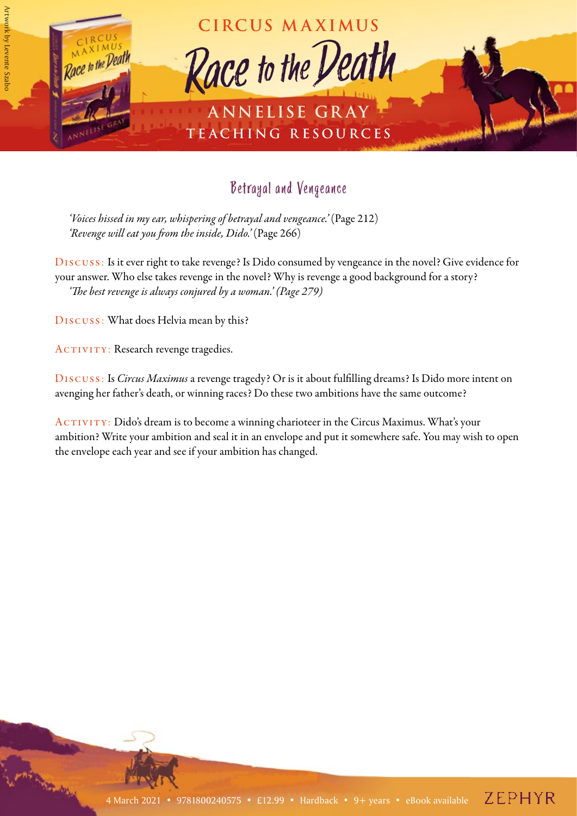

## Betrayal and Vengeance

'Voices hissed in my ear, whispering of betrayal and vengeance.' (Page 212) *'Revenge will eat you from the inside, Dido.'* (Page 266)

Discuss: Is it ever right to take revenge? Is Dido consumed by vengeance in the novel? Give evidence for your answer. Who else takes revenge in the novel? Why is revenge a good background for a story? *'The best revenge is always conjured by a woman.' (Page 279)*

Discuss: What does Helvia mean by this?

ACTIVITY: Research revenge tragedies.

Discuss: Is *Circus Maximus* a revenge tragedy? Or is it about fulfilling dreams? Is Dido more intent on avenging her father's death, or winning races? Do these two ambitions have the same outcome?

ACTIVITY: Dido's dream is to become a winning charioteer in the Circus Maximus. What's your ambition? Write your ambition and seal it in an envelope and put it somewhere safe. You may wish to open the envelope each year and see if your ambition has changed.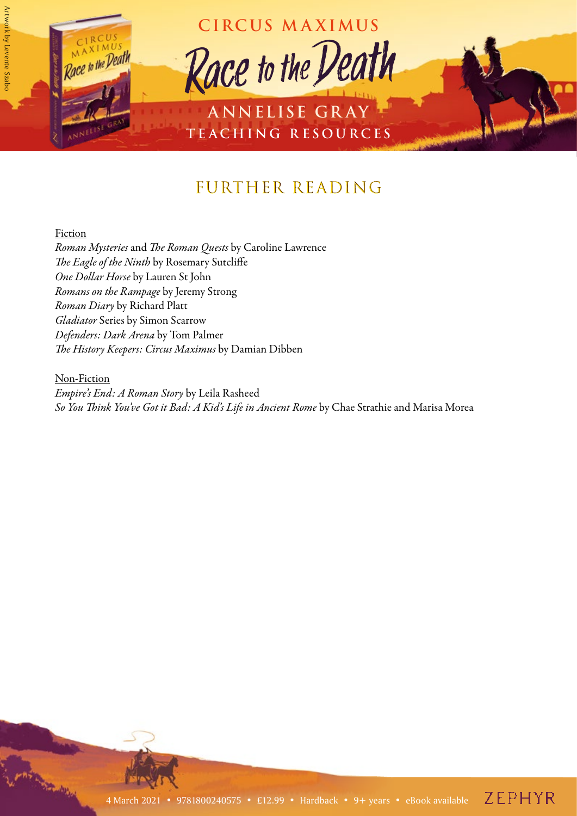

# FURTHER READING

#### Fiction

*Roman Mysteries* and *The Roman Quests* by Caroline Lawrence *The Eagle of the Ninth* by Rosemary Sutcliffe *One Dollar Horse* by Lauren St John *Romans on the Rampage* by Jeremy Strong *Roman Diary* by Richard Platt *Gladiator* Series by Simon Scarrow *Defenders: Dark Arena* by Tom Palmer *The History Keepers: Circus Maximus* by Damian Dibben

#### Non-Fiction

*Empire's End: A Roman Story* by Leila Rasheed *So You Think You've Got it Bad: A Kid's Life in Ancient Rome* by Chae Strathie and Marisa Morea